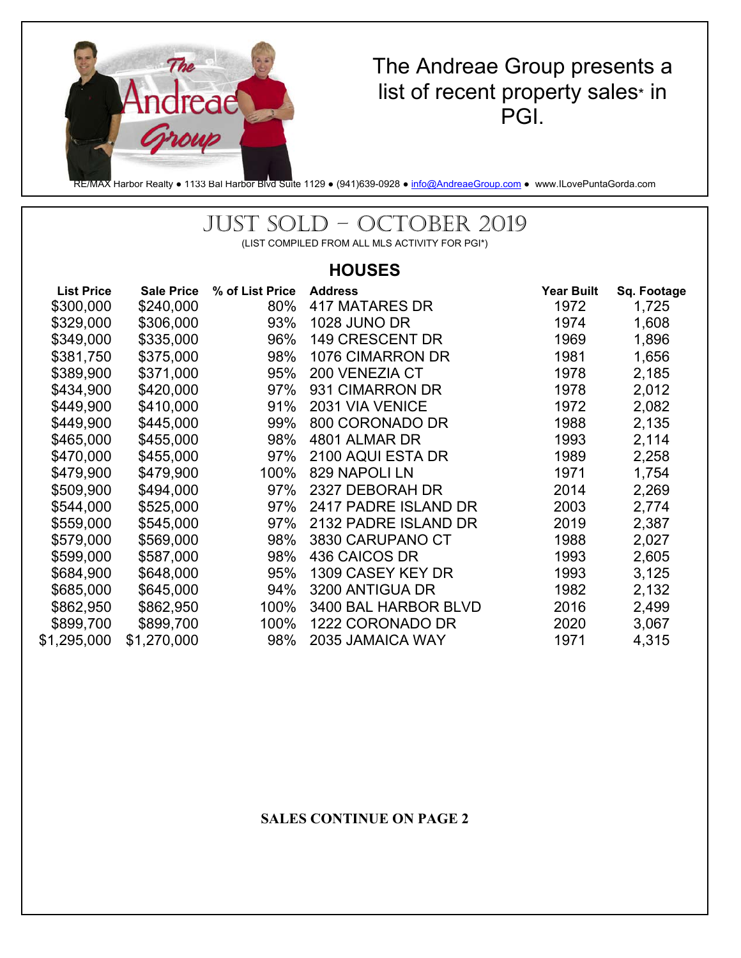

# The Andreae Group presents a list of recent property sales\* in PGI.

RE/MAX Harbor Realty • 1133 Bal Harbor Blvd Suite 1129 • (941)639-0928 • info@AndreaeGroup.com • www.ILovePuntaGorda.com

# JUST SOLD – OCTOBER 2019

(LIST COMPILED FROM ALL MLS ACTIVITY FOR PGI\*)

### **HOUSES**

| <b>List Price</b> | <b>Sale Price</b> | % of List Price | <b>Address</b>       | <b>Year Built</b> | Sq. Footage |
|-------------------|-------------------|-----------------|----------------------|-------------------|-------------|
| \$300,000         | \$240,000         | 80%             | 417 MATARES DR       | 1972              | 1,725       |
| \$329,000         | \$306,000         | 93%             | <b>1028 JUNO DR</b>  | 1974              | 1,608       |
| \$349,000         | \$335,000         | 96%             | 149 CRESCENT DR      | 1969              | 1,896       |
| \$381,750         | \$375,000         | 98%             | 1076 CIMARRON DR     | 1981              | 1,656       |
| \$389,900         | \$371,000         | 95%             | 200 VENEZIA CT       | 1978              | 2,185       |
| \$434,900         | \$420,000         | 97%             | 931 CIMARRON DR      | 1978              | 2,012       |
| \$449,900         | \$410,000         | 91%             | 2031 VIA VENICE      | 1972              | 2,082       |
| \$449,900         | \$445,000         | 99%             | 800 CORONADO DR      | 1988              | 2,135       |
| \$465,000         | \$455,000         | 98%             | 4801 ALMAR DR        | 1993              | 2,114       |
| \$470,000         | \$455,000         | 97%             | 2100 AQUI ESTA DR    | 1989              | 2,258       |
| \$479,900         | \$479,900         | 100%            | 829 NAPOLI LN        | 1971              | 1,754       |
| \$509,900         | \$494,000         | 97%             | 2327 DEBORAH DR      | 2014              | 2,269       |
| \$544,000         | \$525,000         | 97%             | 2417 PADRE ISLAND DR | 2003              | 2,774       |
| \$559,000         | \$545,000         | 97%             | 2132 PADRE ISLAND DR | 2019              | 2,387       |
| \$579,000         | \$569,000         | 98%             | 3830 CARUPANO CT     | 1988              | 2,027       |
| \$599,000         | \$587,000         | 98%             | 436 CAICOS DR        | 1993              | 2,605       |
| \$684,900         | \$648,000         | 95%             | 1309 CASEY KEY DR    | 1993              | 3,125       |
| \$685,000         | \$645,000         | 94%             | 3200 ANTIGUA DR      | 1982              | 2,132       |
| \$862,950         | \$862,950         | 100%            | 3400 BAL HARBOR BLVD | 2016              | 2,499       |
| \$899,700         | \$899,700         | 100%            | 1222 CORONADO DR     | 2020              | 3,067       |
| \$1,295,000       | \$1,270,000       | 98%             | 2035 JAMAICA WAY     | 1971              | 4,315       |

#### **SALES CONTINUE ON PAGE 2**